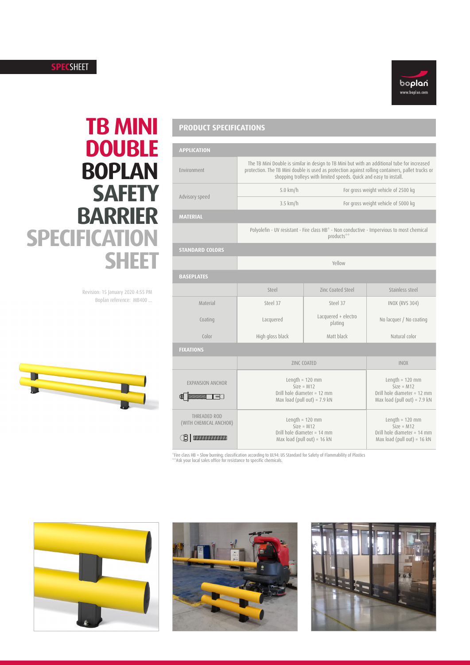## **SPEC**SHEET



# **TB MINI DOUBLE BOPLAN SAFETY BARRIER SPECIFICATION SHEET**

Revision: 15 January 2020 4:55 PM Boplan reference: MB400 ...



# **PRODUCT SPECIFICATIONS**

| <b>APPLICATION</b>                                                 |                                                                                                                                                                                                                                                                        |                                |                                                                                                    |
|--------------------------------------------------------------------|------------------------------------------------------------------------------------------------------------------------------------------------------------------------------------------------------------------------------------------------------------------------|--------------------------------|----------------------------------------------------------------------------------------------------|
| Environment                                                        | The TB Mini Double is similar in design to TB Mini but with an additional tube for increased<br>protection. The TB Mini double is used as protection against rolling containers, pallet trucks or<br>shopping trolleys with limited speeds. Quick and easy to install. |                                |                                                                                                    |
| Advisory speed                                                     | 5.0 km/h                                                                                                                                                                                                                                                               |                                | For gross weight vehicle of 2500 kg                                                                |
|                                                                    | $3.5$ km/h                                                                                                                                                                                                                                                             |                                | For gross weight vehicle of 5000 kg                                                                |
| <b>MATERIAL</b>                                                    |                                                                                                                                                                                                                                                                        |                                |                                                                                                    |
|                                                                    | Polyolefin - UV resistant - Fire class HB* - Non conductive - Impervious to most chemical<br>products**                                                                                                                                                                |                                |                                                                                                    |
| <b>STANDARD COLORS</b>                                             |                                                                                                                                                                                                                                                                        |                                |                                                                                                    |
|                                                                    | Yellow                                                                                                                                                                                                                                                                 |                                |                                                                                                    |
| <b>BASEPLATES</b>                                                  |                                                                                                                                                                                                                                                                        |                                |                                                                                                    |
|                                                                    | Steel                                                                                                                                                                                                                                                                  | Zinc Coated Steel              | Stainless steel                                                                                    |
| Material                                                           | Steel 37                                                                                                                                                                                                                                                               | Steel 37                       | <b>INOX (RVS 304)</b>                                                                              |
| Coating                                                            | Lacquered                                                                                                                                                                                                                                                              | Lacquered + electro<br>plating | No lacquer / No coating                                                                            |
| Color                                                              | High gloss black                                                                                                                                                                                                                                                       | Matt black                     | Natural color                                                                                      |
| <b>FIXATIONS</b>                                                   |                                                                                                                                                                                                                                                                        |                                |                                                                                                    |
|                                                                    | <b>ZINC COATED</b>                                                                                                                                                                                                                                                     |                                | <b>INOX</b>                                                                                        |
| <b>EXPANSION ANCHOR</b><br><b>ANDREW MANUFACTURER</b><br>$\exists$ | Length = $120$ mm<br>$Size = M12$<br>Drill hole diameter = 12 mm<br>Max load (pull out) = $7.9$ kN                                                                                                                                                                     |                                | Length = $120$ mm<br>$Size = M12$<br>Drill hole diameter = 12 mm<br>Max load (pull out) = $7.9$ kN |
| THREADED ROD<br>(WITH CHEMICAL ANCHOR)<br>(qi                      | Length = $120$ mm<br>$Size = M12$<br>Drill hole diameter = 14 mm<br>Max load (pull out) = $16$ kN                                                                                                                                                                      |                                | Length = $120$ mm<br>$Size = M12$<br>Drill hole diameter = 14 mm<br>Max load (pull out) = $16$ kN  |

-<br>®Fire class HB = Slow burning; classification according to UL94: US Standard for Safety of Flammability of Plastics<br>®®Ask your local sales office for resistance to specific chemicals.